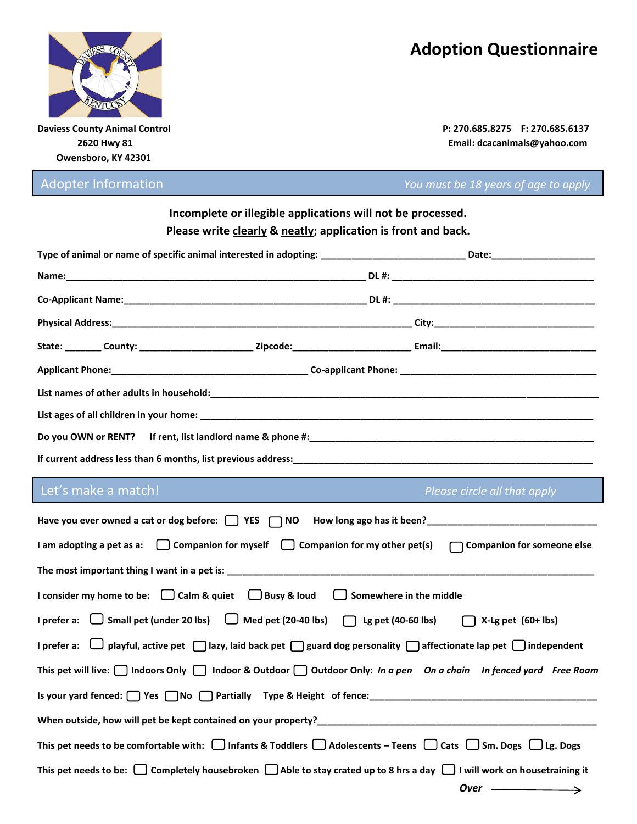## **Adoption Questionnaire**



 **Owensboro, KY 42301**

**Daviess County Animal Control P: 270.685.8275 F: 270.685.6137 2620 Hwy 81 Email: dcacanimals@yahoo.com** 

Adopter Information *You must be 18 years of age to apply*

| Incomplete or illegible applications will not be processed.   |
|---------------------------------------------------------------|
| Please write clearly & neatly; application is front and back. |

| If current address less than 6 months, list previous address:<br>The manuscription continues are all the contract of the contract of the contract of the contract of the contract of the contract of the contract of the contrac |  |  |  |  |  |  |
|----------------------------------------------------------------------------------------------------------------------------------------------------------------------------------------------------------------------------------|--|--|--|--|--|--|

## Let's make a match! *Please circle all that apply*

| Have you ever owned a cat or dog before: $\Box$ YES $\Box$ NO How long ago has it been?<br>                                                   |
|-----------------------------------------------------------------------------------------------------------------------------------------------|
| I am adopting a pet as a: $\Box$ Companion for myself $\Box$ Companion for my other pet(s) $\Box$ Companion for someone else                  |
|                                                                                                                                               |
| I consider my home to be: $\bigcup$ Calm & quiet $\bigcup$ Busy & loud $\bigcup$ Somewhere in the middle                                      |
| I prefer a: $\Box$ Small pet (under 20 lbs) $\Box$ Med pet (20-40 lbs) $\Box$ Lg pet (40-60 lbs) $\Box$ X-Lg pet (60+ lbs)                    |
| I prefer a: $\Box$ playful, active pet $\Box$ lazy, laid back pet $\Box$ guard dog personality $\Box$ affectionate lap pet $\Box$ independent |
| This pet will live: $\Box$ Indoors Only $\Box$ Indoor & Outdoor $\Box$ Outdoor Only: In a pen On a chain In fenced yard Free Roam             |
|                                                                                                                                               |
|                                                                                                                                               |
| This pet needs to be comfortable with: $\Box$ Infants & Toddlers $\Box$ Adolescents – Teens $\Box$ Cats $\Box$ Sm. Dogs $\Box$ Lg. Dogs       |
| This pet needs to be: $\Box$ Completely housebroken $\Box$ Able to stay crated up to 8 hrs a day $\Box$ I will work on housetraining it       |
| Over $\longrightarrow$                                                                                                                        |